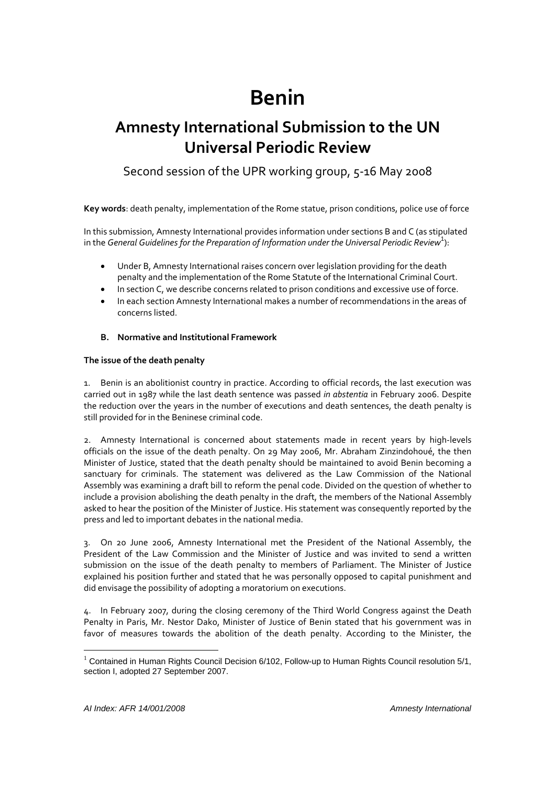# **Benin**

# **Amnesty International Submission to the UN Universal Periodic Review**

Second session of the UPR working group, 5-16 May 2008

**Key words**: death penalty, implementation of the Rome statue, prison conditions, police use of force

In this submission, Amnesty International provides information under sections B and C (as stipulated in the *General Guidelines for the Preparation of Information under the Universal Periodic Review*<sup>1</sup> ):

- Under B, Amnesty International raises concern over legislation providing for the death penalty and the implementation of the Rome Statute of the International Criminal Court.
- In section C, we describe concerns related to prison conditions and excessive use of force.
- In each section Amnesty International makes a number of recommendations in the areas of concerns listed.

#### **B. Normative and Institutional Framework**

#### **The issue of the death penalty**

1. Benin is an abolitionist country in practice. According to official records, the last execution was carried out in 1987 while the last death sentence was passed *in abstentia* in February 2006. Despite the reduction over the years in the number of executions and death sentences, the death penalty is still provided for in the Beninese criminal code.

2. Amnesty International is concerned about statements made in recent years by high-levels officials on the issue of the death penalty. On 29 May 2006, Mr. Abraham Zinzindohoué, the then Minister of Justice, stated that the death penalty should be maintained to avoid Benin becoming a sanctuary for criminals. The statement was delivered as the Law Commission of the National Assembly was examining a draft bill to reform the penal code. Divided on the question of whether to include a provision abolishing the death penalty in the draft, the members of the National Assembly asked to hear the position of the Minister of Justice. His statement was consequently reported by the press and led to important debates in the national media.

3. On 20 June 2006, Amnesty International met the President of the National Assembly, the President of the Law Commission and the Minister of Justice and was invited to send a written submission on the issue of the death penalty to members of Parliament. The Minister of Justice explained his position further and stated that he was personally opposed to capital punishment and did envisage the possibility of adopting a moratorium on executions.

4. In February 2007, during the closing ceremony of the Third World Congress against the Death Penalty in Paris, Mr. Nestor Dako, Minister of Justice of Benin stated that his government was in favor of measures towards the abolition of the death penalty. According to the Minister, the

 $\overline{a}$ 

 $1$  Contained in Human Rights Council Decision 6/102, Follow-up to Human Rights Council resolution 5/1, section I, adopted 27 September 2007.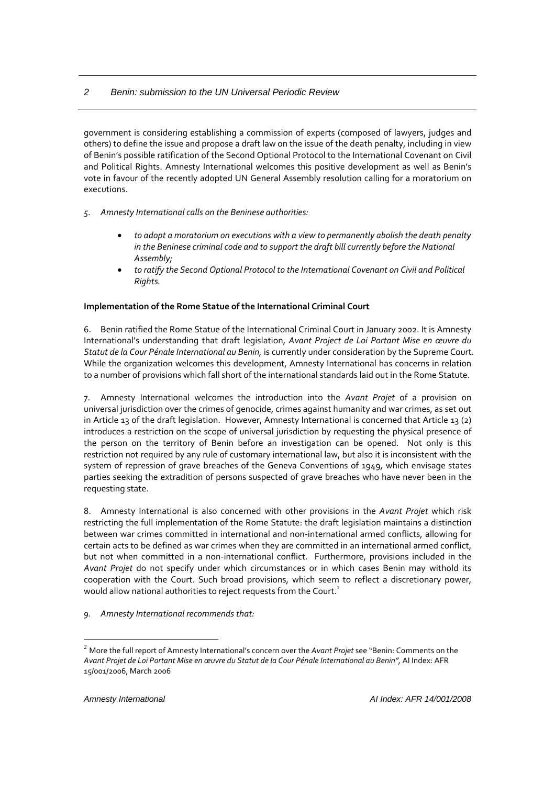# *2 Benin: submission to the UN Universal Periodic Review*

government is considering establishing a commission of experts (composed of lawyers, judges and others) to define the issue and propose a draft law on the issue of the death penalty, including in view of Benin's possible ratification of the Second Optional Protocol to the International Covenant on Civil and Political Rights. Amnesty International welcomes this positive development as well as Benin's vote in favour of the recently adopted UN General Assembly resolution calling for a moratorium on executions.

- *5. Amnesty International calls on the Beninese authorities:*
	- *to adopt a moratorium on executions with a view to permanently abolish the death penalty in the Beninese criminal code and to support the draft bill currently before the National Assembly;*
	- *to ratify the Second Optional Protocol to the International Covenant on Civil and Political Rights.*

#### **Implementation of the Rome Statue of the International Criminal Court**

6. Benin ratified the Rome Statue of the International Criminal Court in January 2002. It is Amnesty International's understanding that draft legislation, *Avant Project de Loi Portant Mise en œuvre du Statut de la Cour Pénale International au Benin,* is currently under consideration by the Supreme Court. While the organization welcomes this development, Amnesty International has concerns in relation to a number of provisions which fall short of the international standards laid out in the Rome Statute.

7. Amnesty International welcomes the introduction into the *Avant Projet* of a provision on universal jurisdiction over the crimes of genocide, crimes against humanity and war crimes, as set out in Article 13 of the draft legislation. However, Amnesty International is concerned that Article 13 (2) introduces a restriction on the scope of universal jurisdiction by requesting the physical presence of the person on the territory of Benin before an investigation can be opened. Not only is this restriction not required by any rule of customary international law, but also it is inconsistent with the system of repression of grave breaches of the Geneva Conventions of 1949, which envisage states parties seeking the extradition of persons suspected of grave breaches who have never been in the requesting state.

8. Amnesty International is also concerned with other provisions in the *Avant Projet* which risk restricting the full implementation of the Rome Statute: the draft legislation maintains a distinction between war crimes committed in international and non‐international armed conflicts, allowing for certain acts to be defined as war crimes when they are committed in an international armed conflict, but not when committed in a non-international conflict. Furthermore, provisions included in the *Avant Projet* do not specify under which circumstances or in which cases Benin may withold its cooperation with the Court. Such broad provisions, which seem to reflect a discretionary power, would allow national authorities to reject requests from the Court.<sup>2</sup>

*9. Amnesty International recommends that:*

 $\overline{a}$ 

<sup>2</sup> More the full report of Amnesty International's concern over the *Avant Projet* see "Benin: Comments on the Avant Projet de Loi Portant Mise en œuvre du Statut de la Cour Pénale International au Benin", Al Index: AFR 15/001/2006, March 2006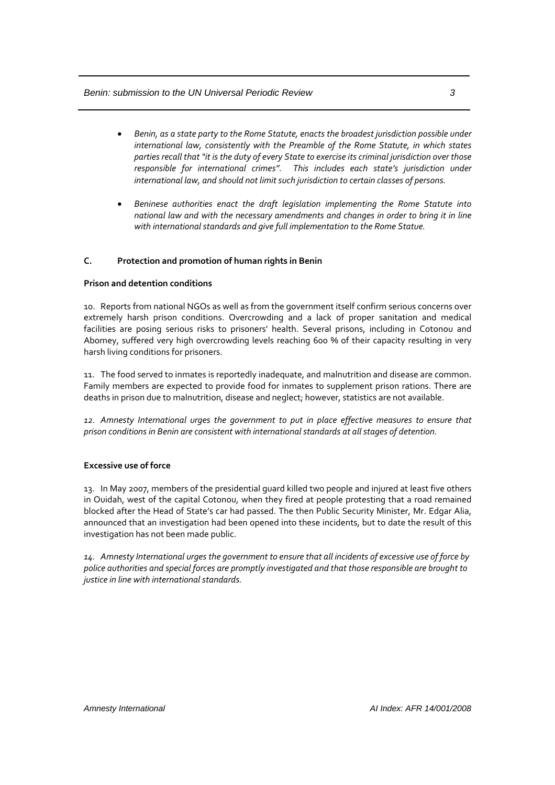#### *Benin: submission to the UN Universal Periodic Review 3*

- *Benin, as a state party to the Rome Statute, enacts the broadest jurisdiction possible under international law, consistently with the Preamble of the Rome Statute, in which states parties recall that "it is the duty of every State to exercise its criminal jurisdiction over those responsible for international crimes". This includes each state's jurisdiction under international law, and should not limitsuch jurisdiction to certain classes of persons.*
- *Beninese authorities enact the draft legislation implementing the Rome Statute into national law and with the necessary amendments and changes in order to bring it in line with international standards and give full implementation to the Rome Statue.*

#### **C. Protection and promotion of human rights in Benin**

#### **Prison and detention conditions**

10. Reports from national NGOs as well as from the government itself confirm serious concerns over extremely harsh prison conditions. Overcrowding and a lack of proper sanitation and medical facilities are posing serious risks to prisoners' health. Several prisons, including in Cotonou and Abomey, suffered very high overcrowding levels reaching 600 % of their capacity resulting in very harsh living conditions for prisoners.

11. The food served to inmates is reportedly inadequate, and malnutrition and disease are common. Family members are expected to provide food for inmates to supplement prison rations. There are deaths in prison due to malnutrition, disease and neglect; however, statistics are not available.

*12. Amnesty International urges the government to put in place effective measures to ensure that prison conditions in Benin are consistent with internationalstandards at allstages of detention.* 

#### **Excessive use of force**

13. In May 2007, members of the presidential guard killed two people and injured at least five others in Ouidah, west of the capital Cotonou, when they fired at people protesting that a road remained blocked after the Head of State's car had passed. The then Public Security Minister, Mr. Edgar Alia, announced that an investigation had been opened into these incidents, but to date the result of this investigation has not been made public.

*14. Amnesty International urges the government to ensure that all incidents of excessive use of force by police authorities and special forces are promptly investigated and that those responsible are brought to justice in line with international standards.*